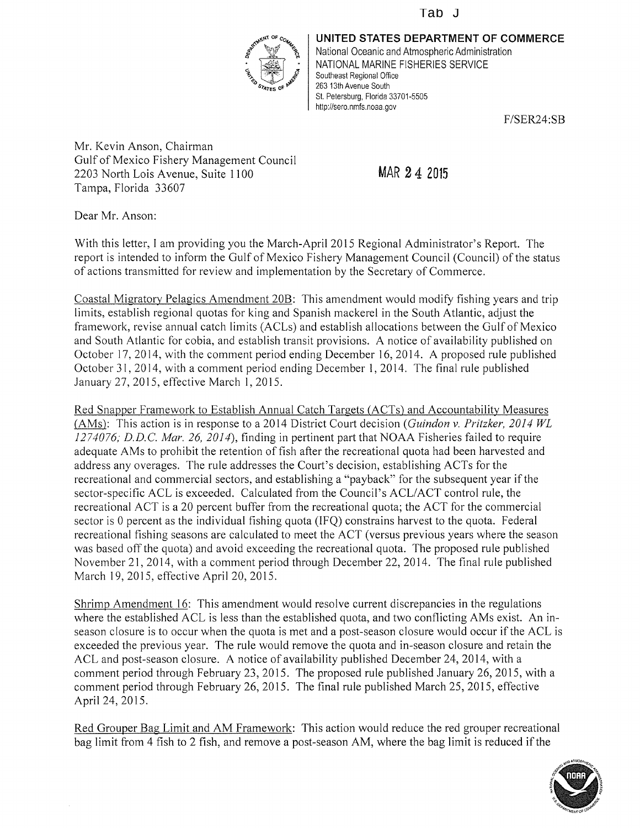## Tab J



UNITED STATES DEPARTMENT OF COMMERCE National Oceanic and Atmospheric Administration NATIONAL MARINE FISHERIES SERVICE Southeast Regional Office 263 13th Avenue South St. Petersburg, Florida 33701-5505 http://sero.nmfs.noaa.gov

F/SER24:SB

Mr. Kevin Anson, Chairman Gulf of Mexico Fishery Management Council 2203 North Lois Avenue, Suite 1100 Tampa, Florida 33607

Dear Mr. Anson:

With this letter, <sup>I</sup> am providing you the March-April 2015 Regional Administrator's Report. The report is intended to inform the Gulf of Mexico Fishery Management Council (Council) of the status of actions transmitted for review and implementation by the Secretary of Commerce.

Coastal Migratory Pelagics Amendment 20B: This amendment would modify fishing years and trip limits, establish regional quotas for king and Spanish mackerel in the South Atlantic, adjust the framework, revise annual catch limits (ACLs) and establish allocations between the Gulf of Mexico and South Atlantic for cobia, and establish transit provisions. A notice of availability published on October 17, 2014, with the comment period ending December 16, 2014. A proposed rule published October 31, 2014, with a comment period ending December 1, 2014. The final rule published January 27, 2015, effective March 1,2015.

Red Snapper Framework to Establish Annual Catch Targets (ACTs) and Accountability Measures (AMs): This action is in response to a 2014 District Court decision (Guindon v. Pritzker, 2014 WL) 1274076; D.D.C. Mar. 26, 2014), finding in pertinent part that NOAA Fisheries failed to require adequate AMs to prohibit the retention of fish after the recreational quota had been harvested and address any overages. The rule addresses the Court's decision, establishing ACTs for the recreational and commercial sectors, and establishing a "payback" for the subsequent year if the sector-specific ACL is exceeded. Calculated from the Council's ACL/ACT control rule, the recreational ACT is a 20 percent buffer from the recreational quota; the ACT for the commercial sector is 0 percent as the individual fishing quota (IFQ) constrains harvest to the quota. Federal recreational fishing seasons are calculated to meet the ACT (versus previous years where the season was based off the quota) and avoid exceeding the recreational quota. The proposed rule published November 21, 2014, with a comment period through December 22, 2014. The final rule published March 19, 2015, effective April 20, 2015.

Shrimp Amendment 16: This amendment would resolve current discrepancies in the regulations where the established ACL is less than the established quota, and two conflicting AMs exist. An inseason closure is to occur when the quota is met and a post-season closure would occur if the ACL is exceeded the previous year. The rule would remove the quota and in-season closure and retain the ACL and post-season closure. A notice of availability published December 24, 2014, with a comment period through February 23, 2015. The proposed rule published January 26, 2015, with a comment period through February 26, 2015. The final rule published March 25, 2015, effective April 24, 2015.

Red Grouper Bag Limit and AM Framework: This action would reduce the red grouper recreational bag limit from 4 fish to 2 fish, and remove a post-season AM, where the bag limit is reduced if the